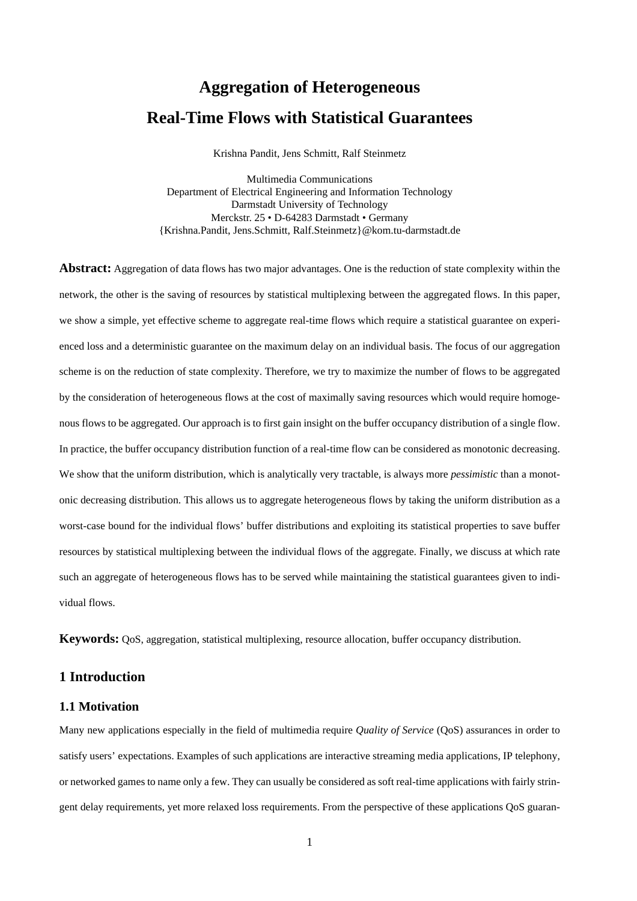# **Aggregation of Heterogeneous Real-Time Flows with Statistical Guarantees**

Krishna Pandit, Jens Schmitt, Ralf Steinmetz

Multimedia Communications Department of Electrical Engineering and Information Technology Darmstadt University of Technology Merckstr. 25 • D-64283 Darmstadt • Germany {Krishna.Pandit, Jens.Schmitt, Ralf.Steinmetz}@kom.tu-darmstadt.de

**Abstract:** Aggregation of data flows has two major advantages. One is the reduction of state complexity within the network, the other is the saving of resources by statistical multiplexing between the aggregated flows. In this paper, we show a simple, yet effective scheme to aggregate real-time flows which require a statistical guarantee on experienced loss and a deterministic guarantee on the maximum delay on an individual basis. The focus of our aggregation scheme is on the reduction of state complexity. Therefore, we try to maximize the number of flows to be aggregated by the consideration of heterogeneous flows at the cost of maximally saving resources which would require homogenous flows to be aggregated. Our approach is to first gain insight on the buffer occupancy distribution of a single flow. In practice, the buffer occupancy distribution function of a real-time flow can be considered as monotonic decreasing. We show that the uniform distribution, which is analytically very tractable, is always more *pessimistic* than a monotonic decreasing distribution. This allows us to aggregate heterogeneous flows by taking the uniform distribution as a worst-case bound for the individual flows' buffer distributions and exploiting its statistical properties to save buffer resources by statistical multiplexing between the individual flows of the aggregate. Finally, we discuss at which rate such an aggregate of heterogeneous flows has to be served while maintaining the statistical guarantees given to individual flows.

**Keywords:** QoS, aggregation, statistical multiplexing, resource allocation, buffer occupancy distribution.

## **1 Introduction**

#### **1.1 Motivation**

Many new applications especially in the field of multimedia require *Quality of Service* (QoS) assurances in order to satisfy users' expectations. Examples of such applications are interactive streaming media applications, IP telephony, or networked games to name only a few. They can usually be considered as soft real-time applications with fairly stringent delay requirements, yet more relaxed loss requirements. From the perspective of these applications QoS guaran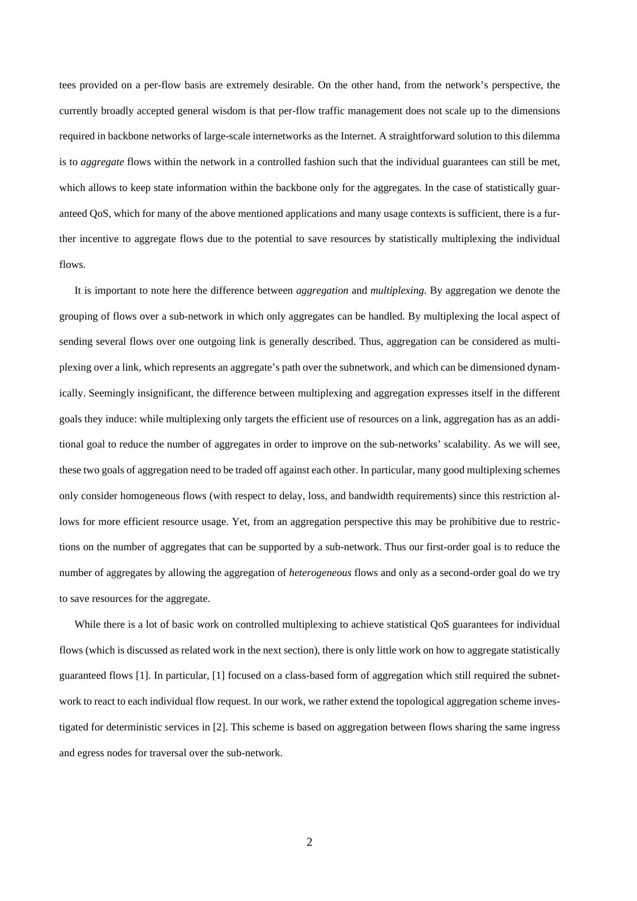tees provided on a per-flow basis are extremely desirable. On the other hand, from the network's perspective, the currently broadly accepted general wisdom is that per-flow traffic management does not scale up to the dimensions required in backbone networks of large-scale internetworks as the Internet. A straightforward solution to this dilemma is to *aggregate* flows within the network in a controlled fashion such that the individual guarantees can still be met, which allows to keep state information within the backbone only for the aggregates. In the case of statistically guaranteed QoS, which for many of the above mentioned applications and many usage contexts is sufficient, there is a further incentive to aggregate flows due to the potential to save resources by statistically multiplexing the individual flows.

It is important to note here the difference between *aggregation* and *multiplexing*. By aggregation we denote the grouping of flows over a sub-network in which only aggregates can be handled. By multiplexing the local aspect of sending several flows over one outgoing link is generally described. Thus, aggregation can be considered as multiplexing over a link, which represents an aggregate's path over the subnetwork, and which can be dimensioned dynamically. Seemingly insignificant, the difference between multiplexing and aggregation expresses itself in the different goals they induce: while multiplexing only targets the efficient use of resources on a link, aggregation has as an additional goal to reduce the number of aggregates in order to improve on the sub-networks' scalability. As we will see, these two goals of aggregation need to be traded off against each other. In particular, many good multiplexing schemes only consider homogeneous flows (with respect to delay, loss, and bandwidth requirements) since this restriction allows for more efficient resource usage. Yet, from an aggregation perspective this may be prohibitive due to restrictions on the number of aggregates that can be supported by a sub-network. Thus our first-order goal is to reduce the number of aggregates by allowing the aggregation of *heterogeneous* flows and only as a second-order goal do we try to save resources for the aggregate.

While there is a lot of basic work on controlled multiplexing to achieve statistical QoS guarantees for individual flows (which is discussed as related work in the next section), there is only little work on how to aggregate statistically guaranteed flows [1]. In particular, [1] focused on a class-based form of aggregation which still required the subnetwork to react to each individual flow request. In our work, we rather extend the topological aggregation scheme investigated for deterministic services in [2]. This scheme is based on aggregation between flows sharing the same ingress and egress nodes for traversal over the sub-network.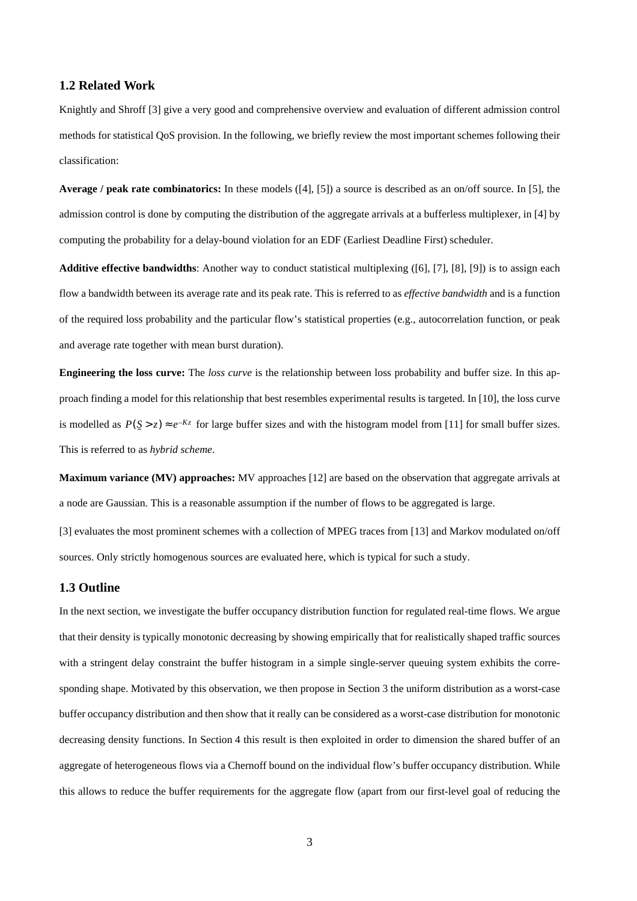#### **1.2 Related Work**

Knightly and Shroff [3] give a very good and comprehensive overview and evaluation of different admission control methods for statistical QoS provision. In the following, we briefly review the most important schemes following their classification:

**Average / peak rate combinatorics:** In these models ([4], [5]) a source is described as an on/off source. In [5], the admission control is done by computing the distribution of the aggregate arrivals at a bufferless multiplexer, in [4] by computing the probability for a delay-bound violation for an EDF (Earliest Deadline First) scheduler.

**Additive effective bandwidths**: Another way to conduct statistical multiplexing ([6], [7], [8], [9]) is to assign each flow a bandwidth between its average rate and its peak rate. This is referred to as *effective bandwidth* and is a function of the required loss probability and the particular flow's statistical properties (e.g., autocorrelation function, or peak and average rate together with mean burst duration).

**Engineering the loss curve:** The *loss curve* is the relationship between loss probability and buffer size. In this approach finding a model for this relationship that best resembles experimental results is targeted. In [10], the loss curve is modelled as  $P(S > z) \approx e^{-Kz}$  for large buffer sizes and with the histogram model from [11] for small buffer sizes. This is referred to as *hybrid scheme*.

**Maximum variance (MV) approaches:** MV approaches [12] are based on the observation that aggregate arrivals at a node are Gaussian. This is a reasonable assumption if the number of flows to be aggregated is large.

[3] evaluates the most prominent schemes with a collection of MPEG traces from [13] and Markov modulated on/off sources. Only strictly homogenous sources are evaluated here, which is typical for such a study.

#### **1.3 Outline**

In the next section, we investigate the buffer occupancy distribution function for regulated real-time flows. We argue that their density is typically monotonic decreasing by showing empirically that for realistically shaped traffic sources with a stringent delay constraint the buffer histogram in a simple single-server queuing system exhibits the corresponding shape. Motivated by this observation, we then propose in [Section 3](#page-6-0) the uniform distribution as a worst-case buffer occupancy distribution and then show that it really can be considered as a worst-case distribution for monotonic decreasing density functions. In [Section 4](#page-8-0) this result is then exploited in order to dimension the shared buffer of an aggregate of heterogeneous flows via a Chernoff bound on the individual flow's buffer occupancy distribution. While this allows to reduce the buffer requirements for the aggregate flow (apart from our first-level goal of reducing the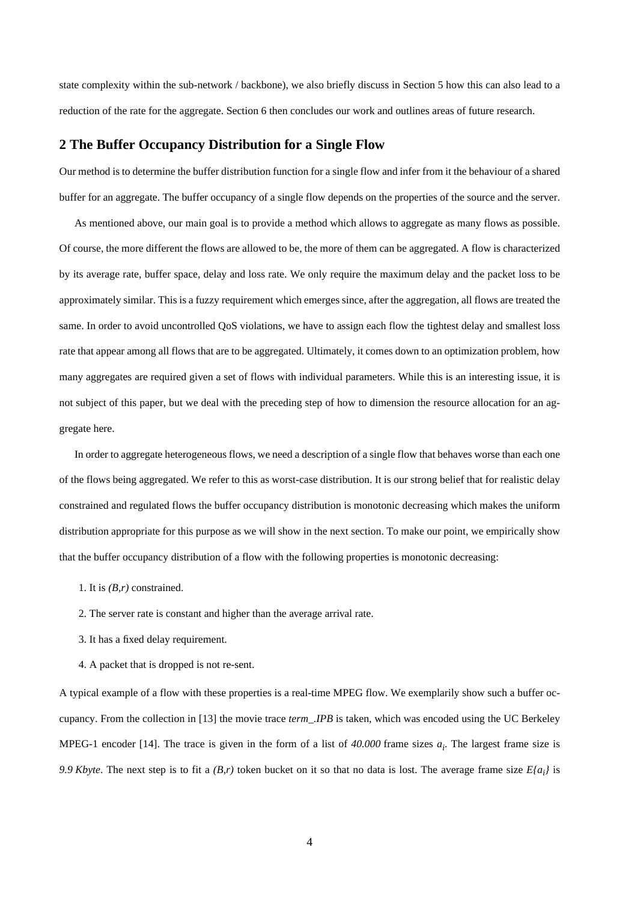state complexity within the sub-network / backbone), we also briefly discuss in [Section 5](#page-10-0) how this can also lead to a reduction of the rate for the aggregate. S[ection 6 th](#page-10-0)en concludes our work and outlines areas of future research.

#### **2 The Buffer Occupancy Distribution for a Single Flow**

Our method is to determine the buffer distribution function for a single flow and infer from it the behaviour of a shared buffer for an aggregate. The buffer occupancy of a single flow depends on the properties of the source and the server.

As mentioned above, our main goal is to provide a method which allows to aggregate as many flows as possible. Of course, the more different the flows are allowed to be, the more of them can be aggregated. A flow is characterized by its average rate, buffer space, delay and loss rate. We only require the maximum delay and the packet loss to be approximately similar. This is a fuzzy requirement which emerges since, after the aggregation, all flows are treated the same. In order to avoid uncontrolled QoS violations, we have to assign each flow the tightest delay and smallest loss rate that appear among all flows that are to be aggregated. Ultimately, it comes down to an optimization problem, how many aggregates are required given a set of flows with individual parameters. While this is an interesting issue, it is not subject of this paper, but we deal with the preceding step of how to dimension the resource allocation for an aggregate here.

In order to aggregate heterogeneous flows, we need a description of a single flow that behaves worse than each one of the flows being aggregated. We refer to this as worst-case distribution. It is our strong belief that for realistic delay constrained and regulated flows the buffer occupancy distribution is monotonic decreasing which makes the uniform distribution appropriate for this purpose as we will show in the next section. To make our point, we empirically show that the buffer occupancy distribution of a flow with the following properties is monotonic decreasing:

- 1. It is *(B,r)* constrained.
- 2. The server rate is constant and higher than the average arrival rate.
- 3. It has a fixed delay requirement.
- 4. A packet that is dropped is not re-sent.

A typical example of a flow with these properties is a real-time MPEG flow. We exemplarily show such a buffer occupancy. From the collection in [13] the movie trace *term\_.IPB* is taken, which was encoded using the UC Berkeley MPEG-1 encoder [14]. The trace is given in the form of a list of *40.000* frame sizes *ai* . The largest frame size is *9.9 Kbyte*. The next step is to fit a *(B,r)* token bucket on it so that no data is lost. The average frame size *E{ai }* is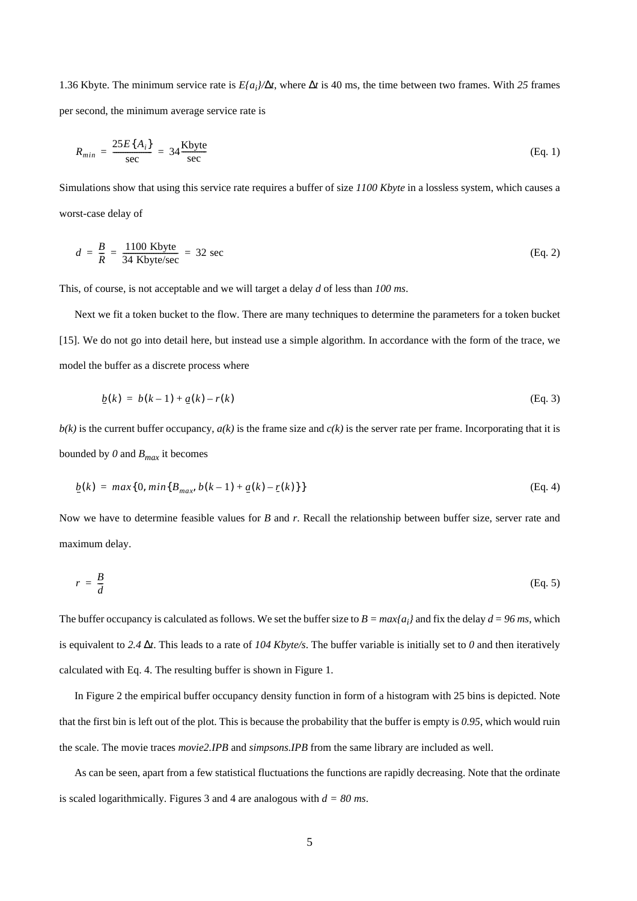<span id="page-4-0"></span>1.36 Kbyte. The minimum service rate is *E{ai }/*∆*t*, where ∆*t* is 40 ms, the time between two frames. With *25* frames per second, the minimum average service rate is

$$
R_{min} = \frac{25E\{A_i\}}{\sec} = 34 \frac{\text{Kbyte}}{\sec} \tag{Eq. 1}
$$

Simulations show that using this service rate requires a buffer of size *1100 Kbyte* in a lossless system, which causes a worst-case delay of

$$
d = \frac{B}{R} = \frac{1100 \text{ Kbyte}}{34 \text{ Kbyte/sec}} = 32 \text{ sec}
$$
 (Eq. 2)

This, of course, is not acceptable and we will target a delay *d* of less than *100 ms*.

Next we fit a token bucket to the flow. There are many techniques to determine the parameters for a token bucket [15]. We do not go into detail here, but instead use a simple algorithm. In accordance with the form of the trace, we model the buffer as a discrete process where

$$
b(k) = b(k-1) + a(k) - r(k)
$$
 (Eq. 3)

 $b(k)$  is the current buffer occupancy,  $a(k)$  is the frame size and  $c(k)$  is the server rate per frame. Incorporating that it is bounded by  $\theta$  and  $B_{max}$  it becomes

$$
\underline{b}(k) = \max\{0, \min\{B_{\max}, b(k-1) + \underline{a}(k) - \underline{r}(k)\}\}\tag{Eq. 4}
$$

Now we have to determine feasible values for *B* and *r*. Recall the relationship between buffer size, server rate and maximum delay.

$$
r = \frac{B}{d} \tag{Eq. 5}
$$

The buffer occupancy is calculated as follows. We set the buffer size to  $B = max\{a_i\}$  and fix the delay  $d = 96$  ms, which is equivalent to *2.4* ∆*t*. This leads to a rate of *104 Kbyte/s*. The buffer variable is initially set to *0* and then iteratively calculated with Eq. 4. The resulting buffer is shown in Figure 1.

In Figure 2 the empirical buffer occupancy density function in form of a histogram with 25 bins is depicted. Note that the first bin is left out of the plot. This is because the probability that the buffer is empty is *0.95*, which would ruin the scale. The movie traces *movie2.IPB* and *simpsons.IPB* from the same library are included as well.

As can be seen, apart from a few statistical fluctuations the functions are rapidly decreasing. Note that the ordinate is scaled logarithmically. Figures 3 and 4 are analogous with *d = 80 ms*.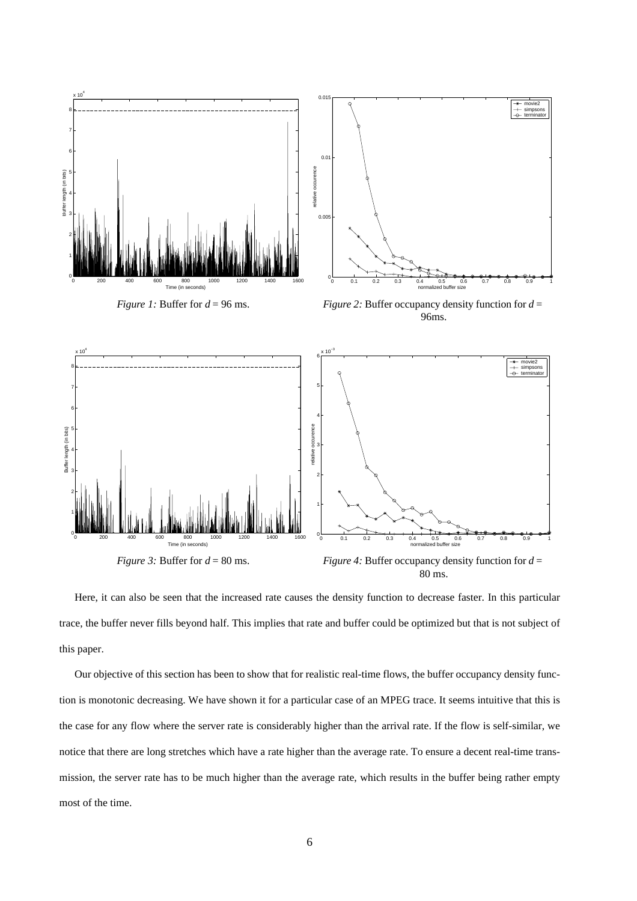

80 ms.

Here, it can also be seen that the increased rate causes the density function to decrease faster. In this particular trace, the buffer never fills beyond half. This implies that rate and buffer could be optimized but that is not subject of this paper.

Our objective of this section has been to show that for realistic real-time flows, the buffer occupancy density function is monotonic decreasing. We have shown it for a particular case of an MPEG trace. It seems intuitive that this is the case for any flow where the server rate is considerably higher than the arrival rate. If the flow is self-similar, we notice that there are long stretches which have a rate higher than the average rate. To ensure a decent real-time transmission, the server rate has to be much higher than the average rate, which results in the buffer being rather empty most of the time.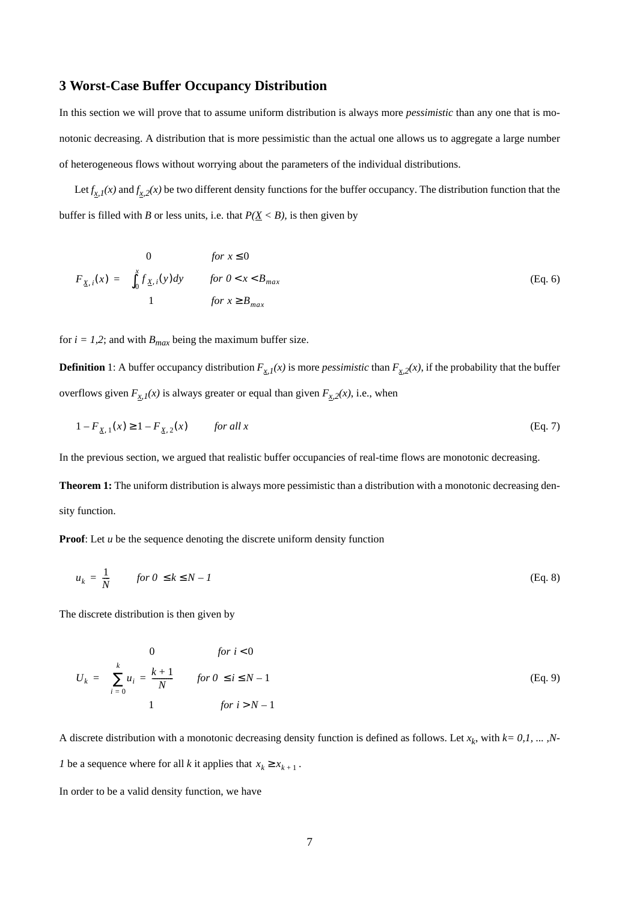## <span id="page-6-0"></span>**3 Worst-Case Buffer Occupancy Distribution**

In this section we will prove that to assume uniform distribution is always more *pessimistic* than any one that is monotonic decreasing. A distribution that is more pessimistic than the actual one allows us to aggregate a large number of heterogeneous flows without worrying about the parameters of the individual distributions.

Let  $f_{x,1}(x)$  and  $f_{x,2}(x)$  be two different density functions for the buffer occupancy. The distribution function that the buffer is filled with *B* or less units, i.e. that  $P(\underline{X} < B)$ , is then given by

$$
F_{\underline{X},i}(x) = \begin{cases} 0 & \text{for } x \le 0 \\ \int_0^x f_{\underline{X},i}(y)dy & \text{for } 0 < x < B_{max} \\ 1 & \text{for } x \ge B_{max} \end{cases}
$$
 (Eq. 6)

for  $i = 1,2$ ; and with  $B_{max}$  being the maximum buffer size.

**Definition** 1: A buffer occupancy distribution  $F_{x,l}(x)$  is more *pessimistic* than  $F_{x,2}(x)$ , if the probability that the buffer overflows given  $F_{x1}(x)$  is always greater or equal than given  $F_{x2}(x)$ , i.e., when

$$
1 - F_{\underline{X}, 1}(x) \ge 1 - F_{\underline{X}, 2}(x) \qquad \text{for all } x \tag{Eq. 7}
$$

In the previous section, we argued that realistic buffer occupancies of real-time flows are monotonic decreasing.

**Theorem 1:** The uniform distribution is always more pessimistic than a distribution with a monotonic decreasing density function.

**Proof:** Let *u* be the sequence denoting the discrete uniform density function

$$
u_k = \frac{1}{N} \qquad \text{for } 0 \le k \le N - 1 \tag{Eq. 8}
$$

The discrete distribution is then given by

$$
U_k = \begin{cases} 0 & \text{for } i < 0 \\ \sum_{i=0}^k u_i = \frac{k+1}{N} & \text{for } 0 \le i \le N-1 \\ 1 & \text{for } i > N-1 \end{cases}
$$
 (Eq. 9)

A discrete distribution with a monotonic decreasing density function is defined as follows. Let  $x_k$ , with  $k = 0, 1, \ldots, N-$ *1* be a sequence where for all *k* it applies that  $x_k \ge x_{k+1}$ .

In order to be a valid density function, we have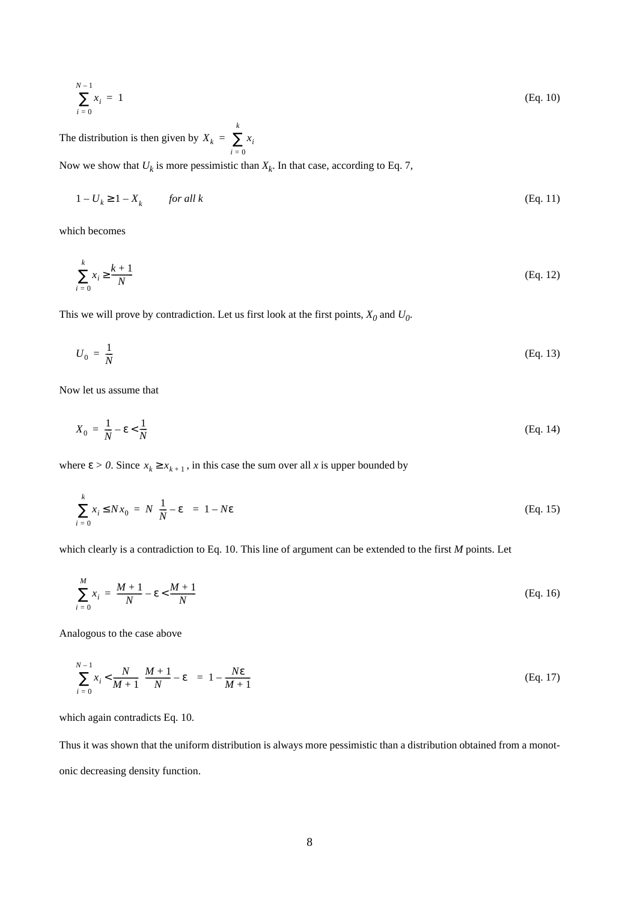$$
\sum_{i=0}^{N-1} x_i = 1 \tag{Eq. 10}
$$

The distribution is then given by  $X_k = \sum_i x_i$ *i* = 0 *k* = ∑

Now we show that  $U_k$  is more pessimistic than  $X_k$ . In that case, according to Eq. 7,

$$
1 - U_k \ge 1 - X_k \qquad \text{for all } k \tag{Eq. 11}
$$

which becomes

$$
\sum_{i=0}^{k} x_i \ge \frac{k+1}{N} \tag{Eq. 12}
$$

This we will prove by contradiction. Let us first look at the first points,  $X_0$  and  $U_0$ .

$$
U_0 = \frac{1}{N} \tag{Eq. 13}
$$

Now let us assume that

$$
X_0 = \frac{1}{N} - \varepsilon < \frac{1}{N} \tag{Eq. 14}
$$

where  $\epsilon > 0$ . Since  $x_k \ge x_{k+1}$ , in this case the sum over all *x* is upper bounded by

$$
\sum_{i=0}^{k} x_i \le Nx_0 = N\left(\frac{1}{N} - \varepsilon\right) = 1 - N\varepsilon
$$
 (Eq. 15)

which clearly is a contradiction to Eq. 10. This line of argument can be extended to the first *M* points. Let

$$
\sum_{i=0}^{M} x_i = \frac{M+1}{N} - \varepsilon < \frac{M+1}{N} \tag{Eq. 16}
$$

Analogous to the case above

$$
\sum_{i=0}^{N-1} x_i < \frac{N}{M+1} \left( \frac{M+1}{N} - \varepsilon \right) = 1 - \frac{N\varepsilon}{M+1} \tag{Eq. 17}
$$

which again contradicts Eq. 10.

Thus it was shown that the uniform distribution is always more pessimistic than a distribution obtained from a monotonic decreasing density function.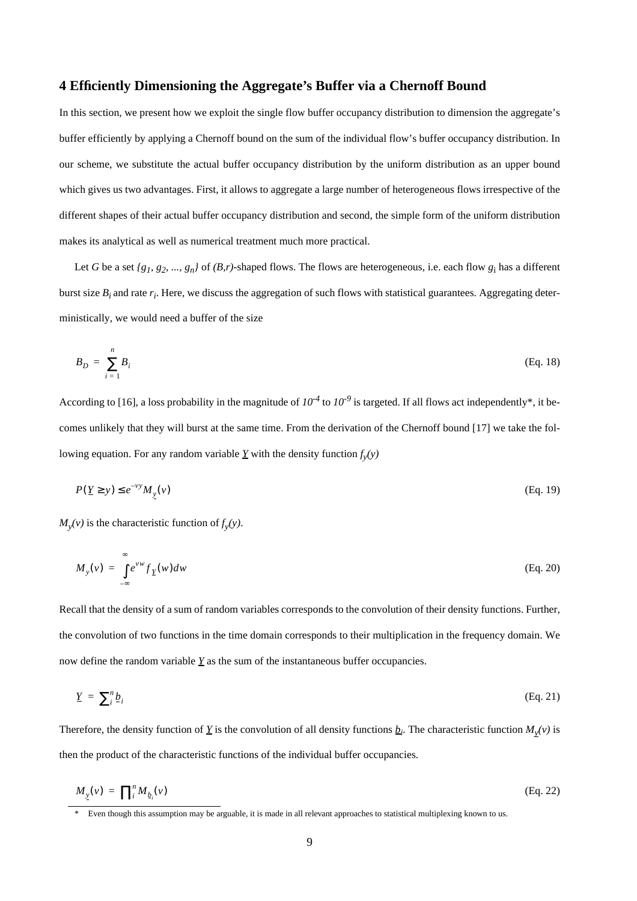## <span id="page-8-0"></span>**4 Efficiently Dimensioning the Aggregate's Buffer via a Chernoff Bound**

In this section, we present how we exploit the single flow buffer occupancy distribution to dimension the aggregate's buffer efficiently by applying a Chernoff bound on the sum of the individual flow's buffer occupancy distribution. In our scheme, we substitute the actual buffer occupancy distribution by the uniform distribution as an upper bound which gives us two advantages. First, it allows to aggregate a large number of heterogeneous flows irrespective of the different shapes of their actual buffer occupancy distribution and second, the simple form of the uniform distribution makes its analytical as well as numerical treatment much more practical.

Let *G* be a set *{g1, g2, ..., gn}* of *(B,r)*-shaped flows. The flows are heterogeneous, i.e. each flow *g*<sup>i</sup> has a different burst size  $B_i$  and rate  $r_i$ . Here, we discuss the aggregation of such flows with statistical guarantees. Aggregating deterministically, we would need a buffer of the size

$$
B_D = \sum_{i=1}^{n} B_i \tag{Eq. 18}
$$

According to [16], a loss probability in the magnitude of  $10^{-4}$  to  $10^{-9}$  is targeted. If all flows act independently\*, it becomes unlikely that they will burst at the same time. From the derivation of the Chernoff bound [17] we take the following equation. For any random variable  $\underline{Y}$  with the density function  $f_y(y)$ 

$$
P(\underline{Y} \ge y) \le e^{-\nu y} M_y(\nu) \tag{Eq. 19}
$$

 $M_y(v)$  is the characteristic function of  $f_y(y)$ .

$$
M_{y}(v) = \int_{-\infty}^{\infty} e^{vw} f_{\underline{Y}}(w) dw
$$
 (Eq. 20)

Recall that the density of a sum of random variables corresponds to the convolution of their density functions. Further, the convolution of two functions in the time domain corresponds to their multiplication in the frequency domain. We now define the random variable  $\underline{Y}$  as the sum of the instantaneous buffer occupancies.

$$
\underline{Y} = \sum_{i}^{n} \underline{b}_{i} \tag{Eq. 21}
$$

Therefore, the density function of  $\underline{Y}$  is the convolution of all density functions  $\underline{b}_i$ . The characteristic function  $M_{\underline{y}}(v)$  is then the product of the characteristic functions of the individual buffer occupancies.

$$
M_{\underline{y}}(v) = \prod_{i}^{n} M_{\underline{b}_i}(v) \tag{Eq. 22}
$$

<sup>\*</sup> Even though this assumption may be arguable, it is made in all relevant approaches to statistical multiplexing known to us.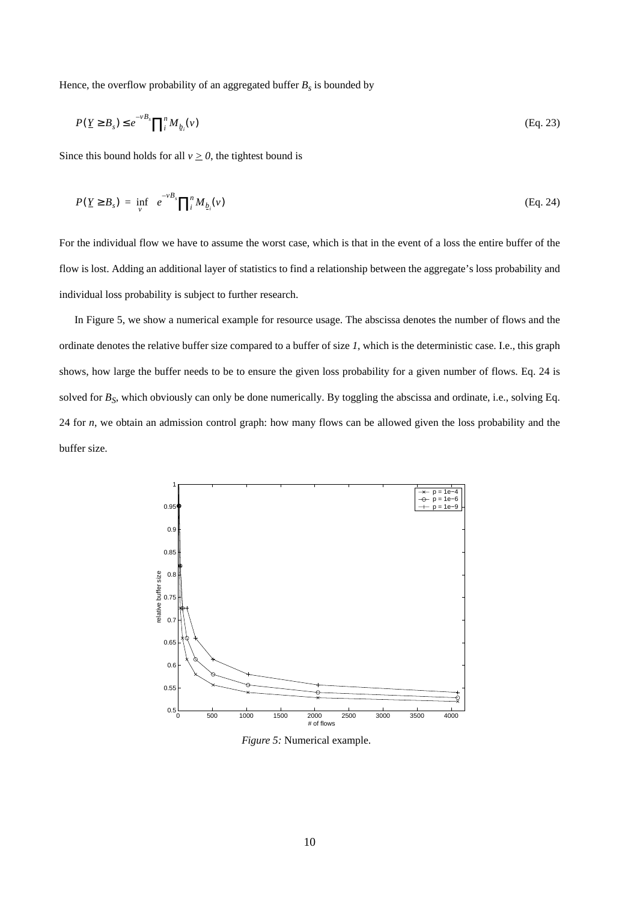Hence, the overflow probability of an aggregated buffer  $B_s$  is bounded by

$$
P(\underline{Y} \geq B_s) \leq e^{-\nu B_s} \prod_i^n M_{\underline{b}_i}(\nu) \tag{Eq. 23}
$$

Since this bound holds for all  $v \ge 0$ , the tightest bound is

$$
P(Y \geq B_s) = \inf_{V} \left\{ e^{-vB_s} \prod_i^n M_{b_i}(v) \right\} \tag{Eq. 24}
$$

For the individual flow we have to assume the worst case, which is that in the event of a loss the entire buffer of the flow is lost. Adding an additional layer of statistics to find a relationship between the aggregate's loss probability and individual loss probability is subject to further research.

In Figure 5, we show a numerical example for resource usage. The abscissa denotes the number of flows and the ordinate denotes the relative buffer size compared to a buffer of size *1*, which is the deterministic case. I.e., this graph shows, how large the buffer needs to be to ensure the given loss probability for a given number of flows. Eq. 24 is solved for  $B_S$ , which obviously can only be done numerically. By toggling the abscissa and ordinate, i.e., solving Eq. 24 for *n*, we obtain an admission control graph: how many flows can be allowed given the loss probability and the buffer size.



*Figure 5:* Numerical example.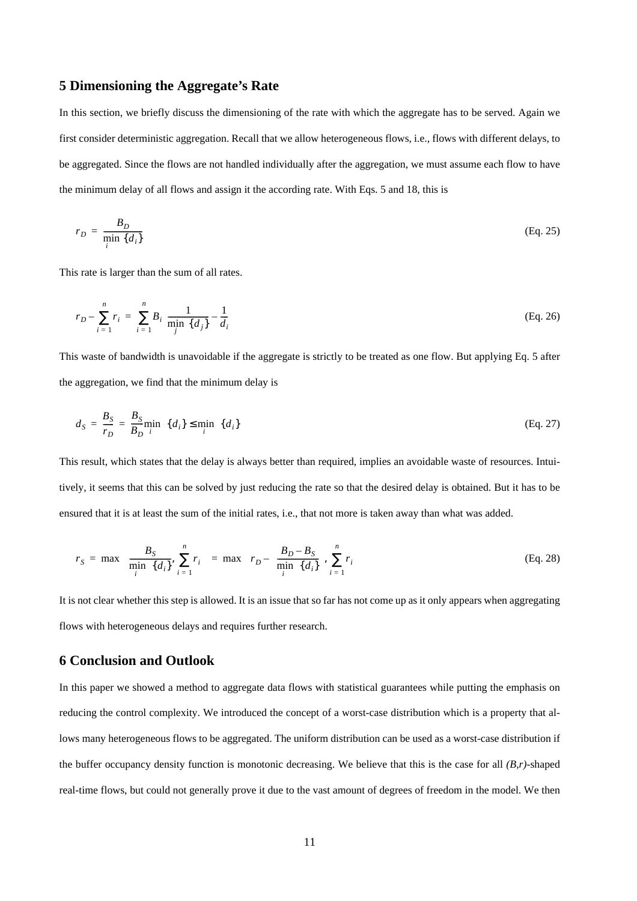## <span id="page-10-0"></span>**5 Dimensioning the Aggregate's Rate**

In this section, we briefly discuss the dimensioning of the rate with which the aggregate has to be served. Again we first consider deterministic aggregation. Recall that we allow heterogeneous flows, i.e., flows with different delays, to be aggregated. Since the flows are not handled individually after the aggregation, we must assume each flow to have the minimum delay of all flows and assign it the according rate. With Eqs. 5 an[d 1](#page-4-0)8, t[his](#page-8-0) is

$$
r_D = \frac{B_D}{\min_i \{d_i\}} \tag{Eq. 25}
$$

This rate is larger than the sum of all rates.

$$
r_D - \sum_{i=1}^{n} r_i = \sum_{i=1}^{n} B_i \left( \frac{1}{\min_{j} \{d_j\}} - \frac{1}{d_i} \right)
$$
 (Eq. 26)

This waste of bandwidth is unavoidable if the aggregate is strictly to be treated as one flow. But applying Eq. [5](#page-4-0) after the aggregation, we find that the minimum delay is

$$
d_S = \frac{B_S}{r_D} = \frac{B_S}{B_D} \min_{i} \{d_i\} \le \min_{i} \{d_i\}
$$
 (Eq. 27)

This result, which states that the delay is always better than required, implies an avoidable waste of resources. Intuitively, it seems that this can be solved by just reducing the rate so that the desired delay is obtained. But it has to be ensured that it is at least the sum of the initial rates, i.e., that not more is taken away than what was added.

$$
r_S = \max \left\{ \frac{B_S}{\min_i \{d_i\}}, \sum_{i=1}^n r_i \right\} = \max \left\{ r_D - \left( \frac{B_D - B_S}{\min_i \{d_i\}}, \sum_{i=1}^n r_i \right\} \tag{Eq. 28}
$$

It is not clear whether this step is allowed. It is an issue that so far has not come up as it only appears when aggregating flows with heterogeneous delays and requires further research.

### **6 Conclusion and Outlook**

In this paper we showed a method to aggregate data flows with statistical guarantees while putting the emphasis on reducing the control complexity. We introduced the concept of a worst-case distribution which is a property that allows many heterogeneous flows to be aggregated. The uniform distribution can be used as a worst-case distribution if the buffer occupancy density function is monotonic decreasing. We believe that this is the case for all *(B,r)*-shaped real-time flows, but could not generally prove it due to the vast amount of degrees of freedom in the model. We then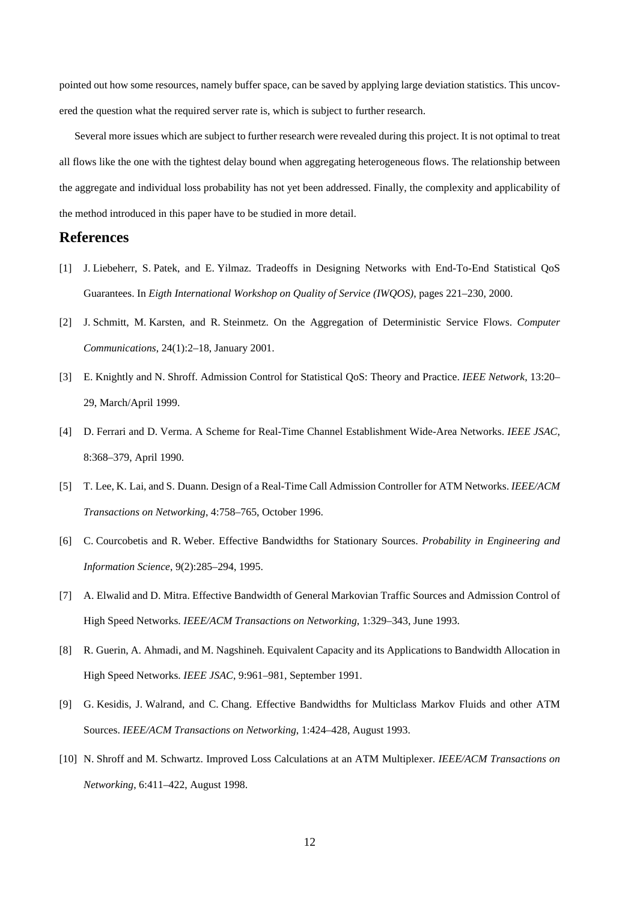pointed out how some resources, namely buffer space, can be saved by applying large deviation statistics. This uncovered the question what the required server rate is, which is subject to further research.

Several more issues which are subject to further research were revealed during this project. It is not optimal to treat all flows like the one with the tightest delay bound when aggregating heterogeneous flows. The relationship between the aggregate and individual loss probability has not yet been addressed. Finally, the complexity and applicability of the method introduced in this paper have to be studied in more detail.

# **References**

- [1] J. Liebeherr, S. Patek, and E. Yilmaz. Tradeoffs in Designing Networks with End-To-End Statistical QoS Guarantees. In *Eigth International Workshop on Quality of Service (IWQOS)*, pages 221–230, 2000.
- [2] J. Schmitt, M. Karsten, and R. Steinmetz. On the Aggregation of Deterministic Service Flows. *Computer Communications*, 24(1):2–18, January 2001.
- [3] E. Knightly and N. Shroff. Admission Control for Statistical QoS: Theory and Practice. *IEEE Network*, 13:20– 29, March/April 1999.
- [4] D. Ferrari and D. Verma. A Scheme for Real-Time Channel Establishment Wide-Area Networks. *IEEE JSAC*, 8:368–379, April 1990.
- [5] T. Lee, K. Lai, and S. Duann. Design of a Real-Time Call Admission Controller for ATM Networks. *IEEE/ACM Transactions on Networking*, 4:758–765, October 1996.
- [6] C. Courcobetis and R. Weber. Effective Bandwidths for Stationary Sources. *Probability in Engineering and Information Science*, 9(2):285–294, 1995.
- [7] A. Elwalid and D. Mitra. Effective Bandwidth of General Markovian Traffic Sources and Admission Control of High Speed Networks. *IEEE/ACM Transactions on Networking*, 1:329–343, June 1993.
- [8] R. Guerin, A. Ahmadi, and M. Nagshineh. Equivalent Capacity and its Applications to Bandwidth Allocation in High Speed Networks. *IEEE JSAC*, 9:961–981, September 1991.
- [9] G. Kesidis, J. Walrand, and C. Chang. Effective Bandwidths for Multiclass Markov Fluids and other ATM Sources. *IEEE/ACM Transactions on Networking*, 1:424–428, August 1993.
- [10] N. Shroff and M. Schwartz. Improved Loss Calculations at an ATM Multiplexer. *IEEE/ACM Transactions on Networking*, 6:411–422, August 1998.